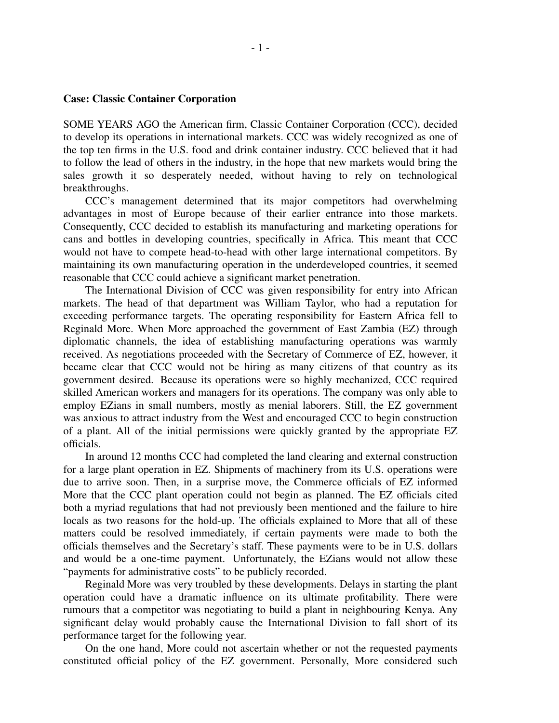## **Case: Classic Container Corporation**

SOME YEARS AGO the American firm, Classic Container Corporation (CCC), decided to develop its operations in international markets. CCC was widely recognized as one of the top ten firms in the U.S. food and drink container industry. CCC believed that it had to follow the lead of others in the industry, in the hope that new markets would bring the sales growth it so desperately needed, without having to rely on technological breakthroughs.

CCC's management determined that its major competitors had overwhelming advantages in most of Europe because of their earlier entrance into those markets. Consequently, CCC decided to establish its manufacturing and marketing operations for cans and bottles in developing countries, specifically in Africa. This meant that CCC would not have to compete head-to-head with other large international competitors. By maintaining its own manufacturing operation in the underdeveloped countries, it seemed reasonable that CCC could achieve a significant market penetration.

The International Division of CCC was given responsibility for entry into African markets. The head of that department was William Taylor, who had a reputation for exceeding performance targets. The operating responsibility for Eastern Africa fell to Reginald More. When More approached the government of East Zambia (EZ) through diplomatic channels, the idea of establishing manufacturing operations was warmly received. As negotiations proceeded with the Secretary of Commerce of EZ, however, it became clear that CCC would not be hiring as many citizens of that country as its government desired. Because its operations were so highly mechanized, CCC required skilled American workers and managers for its operations. The company was only able to employ EZians in small numbers, mostly as menial laborers. Still, the EZ government was anxious to attract industry from the West and encouraged CCC to begin construction of a plant. All of the initial permissions were quickly granted by the appropriate EZ officials.

In around 12 months CCC had completed the land clearing and external construction for a large plant operation in EZ. Shipments of machinery from its U.S. operations were due to arrive soon. Then, in a surprise move, the Commerce officials of EZ informed More that the CCC plant operation could not begin as planned. The EZ officials cited both a myriad regulations that had not previously been mentioned and the failure to hire locals as two reasons for the hold-up. The officials explained to More that all of these matters could be resolved immediately, if certain payments were made to both the officials themselves and the Secretary's staff. These payments were to be in U.S. dollars and would be a one-time payment. Unfortunately, the EZians would not allow these "payments for administrative costs" to be publicly recorded.

Reginald More was very troubled by these developments. Delays in starting the plant operation could have a dramatic influence on its ultimate profitability. There were rumours that a competitor was negotiating to build a plant in neighbouring Kenya. Any significant delay would probably cause the International Division to fall short of its performance target for the following year.

On the one hand, More could not ascertain whether or not the requested payments constituted official policy of the EZ government. Personally, More considered such